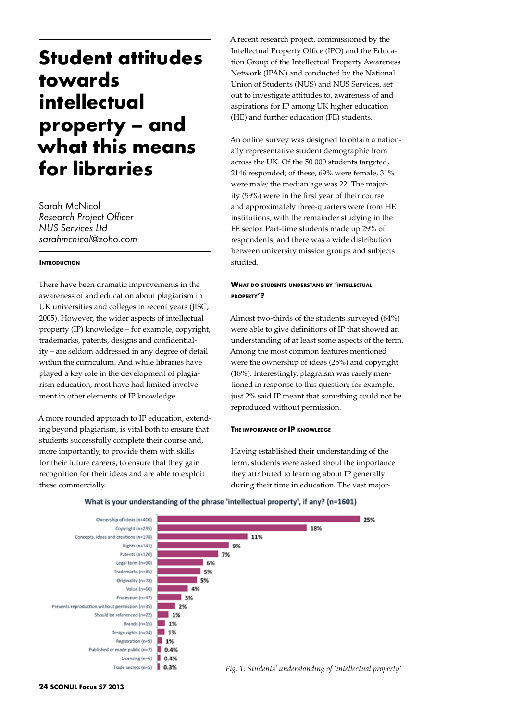# **Student attitudes towards intellectual property – and what this means for libraries**

Sarah McNicol *Research Project Officer NUS Services Ltd sarahmcnicol@zoho.com*

#### **INTRODUCTION**

There have been dramatic improvements in the awareness of and education about plagiarism in UK universities and colleges in recent years (JISC, 2005). However, the wider aspects of intellectual property (IP) knowledge – for example, copyright, trademarks, patents, designs and confidentiality – are seldom addressed in any degree of detail within the curriculum. And while libraries have played a key role in the development of plagiarism education, most have had limited involvement in other elements of IP knowledge.

A more rounded approach to IP education, extending beyond plagiarism, is vital both to ensure that students successfully complete their course and, more importantly, to provide them with skills for their future careers, to ensure that they gain recognition for their ideas and are able to exploit these commercially.

A recent research project, commissioned by the Intellectual Property Office (IPO) and the Education Group of the Intellectual Property Awareness Network (IPAN) and conducted by the National Union of Students (NUS) and NUS Services, set out to investigate attitudes to, awareness of and aspirations for IP among UK higher education (HE) and further education (FE) students.

An online survey was designed to obtain a nationally representative student demographic from across the UK. Of the 50 000 students targeted, 2146 responded; of these, 69% were female, 31% were male; the median age was 22. The majority (59%) were in the first year of their course and approximately three-quarters were from HE institutions, with the remainder studying in the FE sector. Part-time students made up 29% of respondents, and there was a wide distribution between university mission groups and subjects studied.

## **What do students understand by 'intellectual property'?**

Almost two-thirds of the students surveyed (64%) were able to give definitions of IP that showed an understanding of at least some aspects of the term. Among the most common features mentioned were the ownership of ideas (25%) and copyright (18%). Interestingly, plagraism was rarely mentioned in response to this question; for example, just 2% said IP meant that something could not be reproduced without permission.

#### **The importance of IP knowledge**

Having established their understanding of the term, students were asked about the importance they attributed to learning about IP generally during their time in education. The vast major-



### What is your understanding of the phrase 'intellectual property', if any? (n=1601)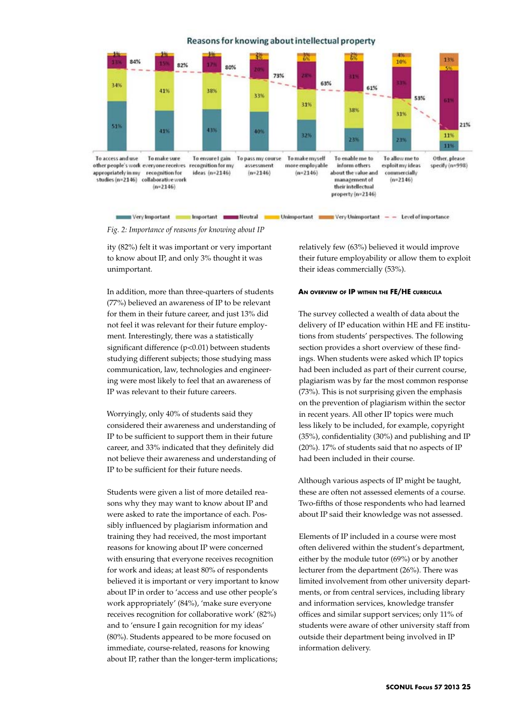#### Reasons for knowing about intellectual property



Very Important Important **ELECTED** Neutral Unimportant  $\frac{1}{2}$  Very Unimportant  $-$  Level of importance

*Fig. 2: Importance of reasons for knowing about IP*

ity (82%) felt it was important or very important to know about IP, and only 3% thought it was unimportant.

In addition, more than three-quarters of students (77%) believed an awareness of IP to be relevant for them in their future career, and just 13% did not feel it was relevant for their future employment. Interestingly, there was a statistically significant difference (p<0.01) between students studying different subjects; those studying mass communication, law, technologies and engineering were most likely to feel that an awareness of IP was relevant to their future careers.

Worryingly, only 40% of students said they considered their awareness and understanding of IP to be sufficient to support them in their future career, and 33% indicated that they definitely did not believe their awareness and understanding of IP to be sufficient for their future needs.

Students were given a list of more detailed reasons why they may want to know about IP and were asked to rate the importance of each. Possibly influenced by plagiarism information and training they had received, the most important reasons for knowing about IP were concerned with ensuring that everyone receives recognition for work and ideas; at least 80% of respondents believed it is important or very important to know about IP in order to 'access and use other people's work appropriately' (84%), 'make sure everyone receives recognition for collaborative work' (82%) and to 'ensure I gain recognition for my ideas' (80%). Students appeared to be more focused on immediate, course-related, reasons for knowing about IP, rather than the longer-term implications;

relatively few (63%) believed it would improve their future employability or allow them to exploit their ideas commercially (53%).

#### **An overview of IP within the FE/HE curricula**

The survey collected a wealth of data about the delivery of IP education within HE and FE institutions from students' perspectives. The following section provides a short overview of these findings. When students were asked which IP topics had been included as part of their current course, plagiarism was by far the most common response (73%). This is not surprising given the emphasis on the prevention of plagiarism within the sector in recent years. All other IP topics were much less likely to be included, for example, copyright (35%), confidentiality (30%) and publishing and IP (20%). 17% of students said that no aspects of IP had been included in their course.

Although various aspects of IP might be taught, these are often not assessed elements of a course. Two-fifths of those respondents who had learned about IP said their knowledge was not assessed.

Elements of IP included in a course were most often delivered within the student's department, either by the module tutor (69%) or by another lecturer from the department (26%). There was limited involvement from other university departments, or from central services, including library and information services, knowledge transfer offices and similar support services; only 11% of students were aware of other university staff from outside their department being involved in IP information delivery.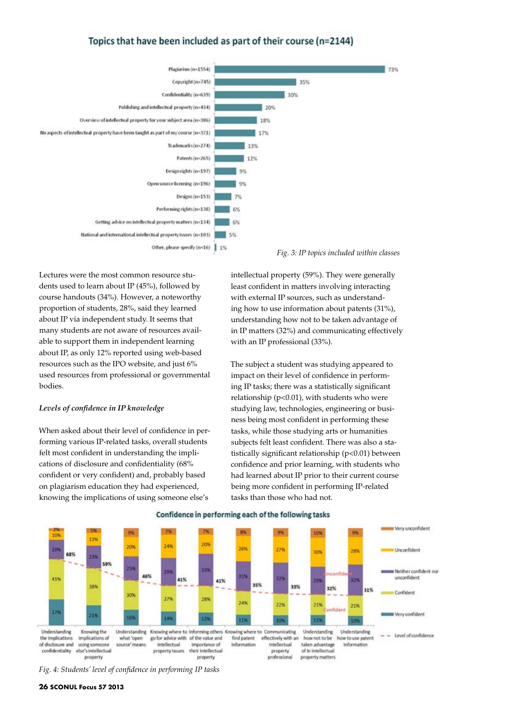# Topics that have been included as part of their course (n=2144)



Lectures were the most common resource students used to learn about IP (45%), followed by course handouts (34%). However, a noteworthy proportion of students, 28%, said they learned about IP via independent study. It seems that many students are not aware of resources available to support them in independent learning about IP, as only 12% reported using web-based resources such as the IPO website, and just 6% used resources from professional or governmental bodies.

## *Levels of confidence in IP knowledge*

When asked about their level of confidence in performing various IP-related tasks, overall students felt most confident in understanding the implications of disclosure and confidentiality (68% confident or very confident) and, probably based on plagiarism education they had experienced, knowing the implications of using someone else's

intellectual property (59%). They were generally least confident in matters involving interacting with external IP sources, such as understanding how to use information about patents (31%), understanding how not to be taken advantage of in IP matters (32%) and communicating effectively with an IP professional (33%).

The subject a student was studying appeared to impact on their level of confidence in performing IP tasks; there was a statistically significant relationship (p<0.01), with students who were studying law, technologies, engineering or business being most confident in performing these tasks, while those studying arts or humanities subjects felt least confident. There was also a statistically significant relationship (p<0.01) between confidence and prior learning, with students who had learned about IP prior to their current course being more confident in performing IP-related tasks than those who had not.



#### Confidence in performing each of the following tasks

*Fig. 4: Students' level of confidence in performing IP tasks*

#### **26 SCONUL Focus 57 2013**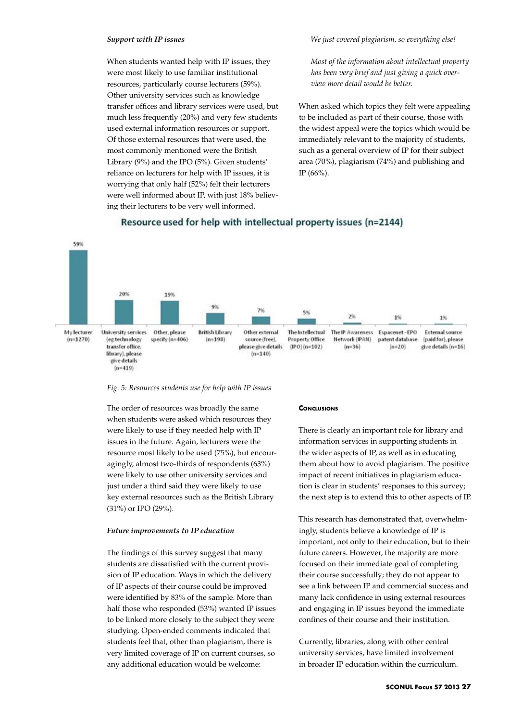#### *Support with IP issues*

When students wanted help with IP issues, they were most likely to use familiar institutional resources, particularly course lecturers (59%). Other university services such as knowledge transfer offices and library services were used, but much less frequently (20%) and very few students used external information resources or support. Of those external resources that were used, the most commonly mentioned were the British Library (9%) and the IPO (5%). Given students' reliance on lecturers for help with IP issues, it is worrying that only half (52%) felt their lecturers were well informed about IP, with just 18% believing their lecturers to be very well informed.

*We just covered plagiarism, so everything else!*

*Most of the information about intellectual property has been very brief and just giving a quick overview more detail would be better.*

When asked which topics they felt were appealing to be included as part of their course, those with the widest appeal were the topics which would be immediately relevant to the majority of students, such as a general overview of IP for their subject area (70%), plagiarism (74%) and publishing and IP (66%).



# Resource used for help with intellectual property issues (n=2144)

#### *Fig. 5: Resources students use for help with IP issues*

The order of resources was broadly the same when students were asked which resources they were likely to use if they needed help with IP issues in the future. Again, lecturers were the resource most likely to be used (75%), but encouragingly, almost two-thirds of respondents (63%) were likely to use other university services and just under a third said they were likely to use key external resources such as the British Library (31%) or IPO (29%).

#### *Future improvements to IP education*

The findings of this survey suggest that many students are dissatisfied with the current provision of IP education. Ways in which the delivery of IP aspects of their course could be improved were identified by 83% of the sample. More than half those who responded (53%) wanted IP issues to be linked more closely to the subject they were studying. Open-ended comments indicated that students feel that, other than plagiarism, there is very limited coverage of IP on current courses, so any additional education would be welcome:

#### **Conclusions**

There is clearly an important role for library and information services in supporting students in the wider aspects of IP, as well as in educating them about how to avoid plagiarism. The positive impact of recent initiatives in plagiarism education is clear in students' responses to this survey; the next step is to extend this to other aspects of IP.

This research has demonstrated that, overwhelmingly, students believe a knowledge of IP is important, not only to their education, but to their future careers. However, the majority are more focused on their immediate goal of completing their course successfully; they do not appear to see a link between IP and commercial success and many lack confidence in using external resources and engaging in IP issues beyond the immediate confines of their course and their institution.

Currently, libraries, along with other central university services, have limited involvement in broader IP education within the curriculum.